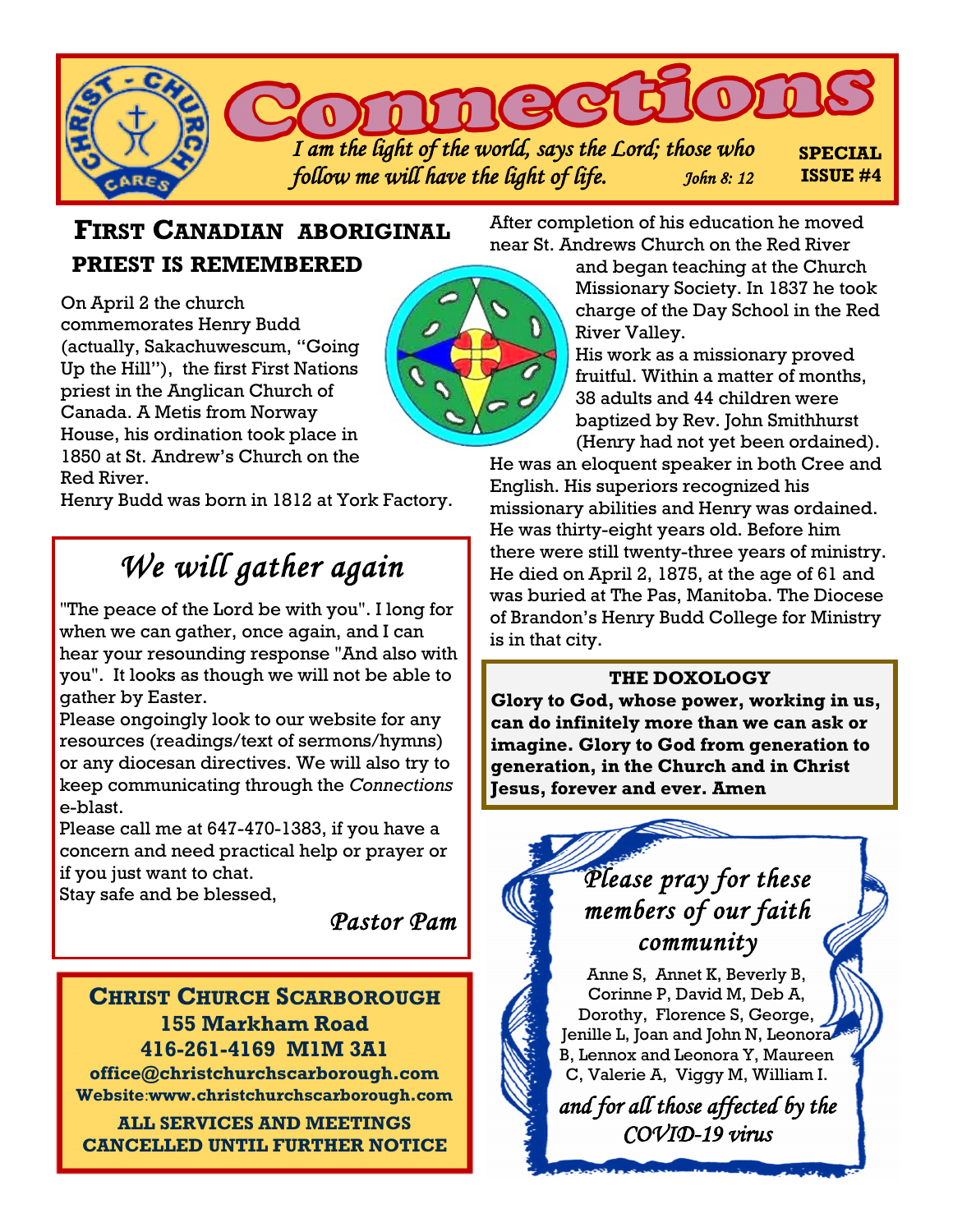

### **FIRST CANADIAN ABORIGINAL PRIEST IS REMEMBERED**

On April 2 the church commemorates Henry Budd (actually, Sakachuwescum, "Going Up the Hill"), the first First Nations priest in the Anglican Church of Canada. A Metis from Norway House, his ordination took place in 1850 at St. Andrew's Church on the Red River.

Henry Budd was born in 1812 at York Factory.

# *We will gather again*

"The peace of the Lord be with you". I long for when we can gather, once again, and I can hear your resounding response "And also with you". It looks as though we will not be able to gather by Easter.

Please ongoingly look to our website for any resources (readings/text of sermons/hymns) or any diocesan directives. We will also try to keep communicating through the *Connections* e-blast.

Please call me at 647-470-1383, if you have a concern and need practical help or prayer or if you just want to chat.

Stay safe and be blessed,

 *Pastor Pam*

#### **CHRIST CHURCH SCARBOROUGH 155 Markham Road 416-261-4169 M1M 3A1 office@christchurchscarborough.com Website**:**www.christchurchscarborough.com**

**ALL SERVICES AND MEETINGS CANCELLED UNTIL FURTHER NOTICE** After completion of his education he moved near St. Andrews Church on the Red River

> and began teaching at the Church Missionary Society. In 1837 he took charge of the Day School in the Red River Valley.

> His work as a missionary proved fruitful. Within a matter of months, 38 adults and 44 children were baptized by Rev. John Smithhurst (Henry had not yet been ordained).

He was an eloquent speaker in both Cree and English. His superiors recognized his missionary abilities and Henry was ordained. He was thirty-eight years old. Before him there were still twenty-three years of ministry. He died on April 2, 1875, at the age of 61 and was buried at The Pas, Manitoba. The Diocese of Brandon's Henry Budd College for Ministry is in that city.

#### **THE DOXOLOGY**

**Glory to God, whose power, working in us, can do infinitely more than we can ask or imagine. Glory to God from generation to generation, in the Church and in Christ Jesus, forever and ever. Amen**

### *Please pray for these members of our faith community*

Anne S, Annet K, Beverly B, Corinne P, David M, Deb A, Dorothy, Florence S, George, Jenille L, Joan and John N, Leonora B, Lennox and Leonora Y, Maureen C, Valerie A, Viggy M, William I.

*and for all those affected by the COVID-19 virus*